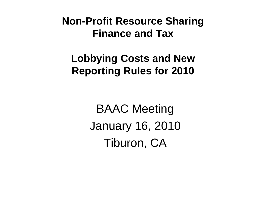## **Lobbying Costs and New Reporting Rules for 2010**

BAAC Meeting January 16, 2010 Tiburon, CA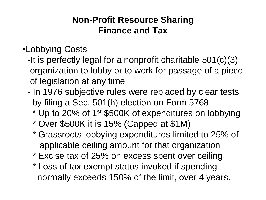- •Lobbying Costs
	- -It is perfectly legal for a nonprofit charitable 501(c)(3) organization to lobby or to work for passage of a piece of legislation at any time
	- In 1976 subjective rules were replaced by clear tests by filing a Sec. 501(h) election on Form 5768
		- \* Up to 20% of 1st \$500K of expenditures on lobbying
		- \* Over \$500K it is 15% (Capped at \$1M)
		- \* Grassroots lobbying expenditures limited to 25% of applicable ceiling amount for that organization
		- \* Excise tax of 25% on excess spent over ceiling
		- \* Loss of tax exempt status invoked if spending normally exceeds 150% of the limit, over 4 years.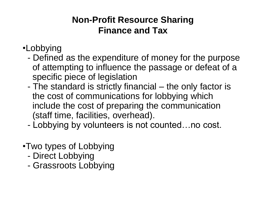- •Lobbying
	- Defined as the expenditure of money for the purpose of attempting to influence the passage or defeat of a specific piece of legislation
	- The standard is strictly financial the only factor is the cost of communications for lobbying which include the cost of preparing the communication (staff time, facilities, overhead).
	- Lobbying by volunteers is not counted…no cost.
- •Two types of Lobbying
	- Direct Lobbying
	- Grassroots Lobbying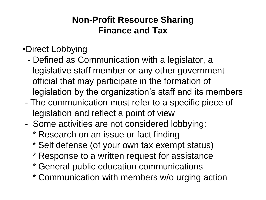- •Direct Lobbying
	- Defined as Communication with a legislator, a legislative staff member or any other government official that may participate in the formation of legislation by the organization's staff and its members
- The communication must refer to a specific piece of legislation and reflect a point of view
- Some activities are not considered lobbying:
	- \* Research on an issue or fact finding
	- \* Self defense (of your own tax exempt status)
	- \* Response to a written request for assistance
	- \* General public education communications
	- \* Communication with members w/o urging action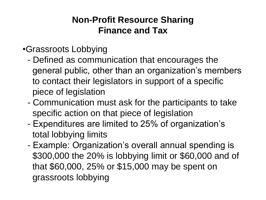#### •Grassroots Lobbying

- Defined as communication that encourages the general public, other than an organization's members to contact their legislators in support of a specific piece of legislation
- Communication must ask for the participants to take specific action on that piece of legislation
- Expenditures are limited to 25% of organization's total lobbying limits
- Example: Organization's overall annual spending is \$300,000 the 20% is lobbying limit or \$60,000 and of that \$60,000, 25% or \$15,000 may be spent on grassroots lobbying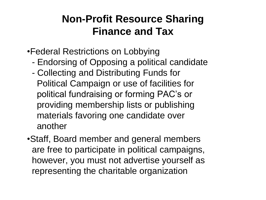- •Federal Restrictions on Lobbying
	- Endorsing of Opposing a political candidate
	- Collecting and Distributing Funds for Political Campaign or use of facilities for political fundraising or forming PAC's or providing membership lists or publishing materials favoring one candidate over another
- •Staff, Board member and general members are free to participate in political campaigns, however, you must not advertise yourself as representing the charitable organization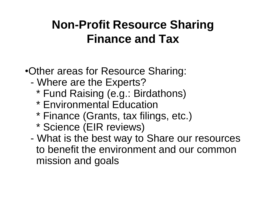•Other areas for Resource Sharing:

- Where are the Experts?
	- \* Fund Raising (e.g.: Birdathons)
	- \* Environmental Education
	- \* Finance (Grants, tax filings, etc.)
	- \* Science (EIR reviews)
- What is the best way to Share our resources to benefit the environment and our common mission and goals